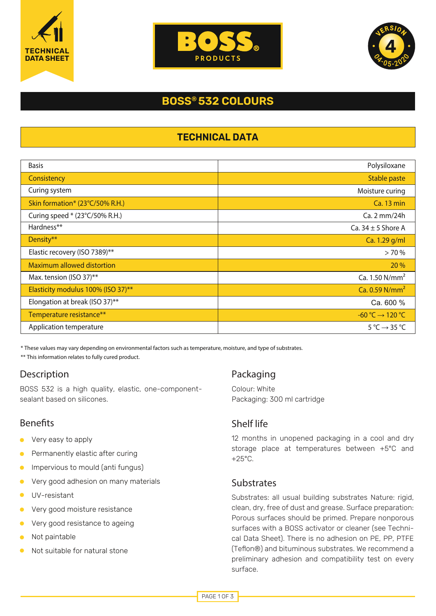





# **BOSS® 532 COLOURS**

## **TECHNICAL DATA**

| <b>Basis</b>                       | Polysiloxane                            |
|------------------------------------|-----------------------------------------|
| Consistency                        | Stable paste                            |
| Curing system                      | Moisture curing                         |
| Skin formation* (23°C/50% R.H.)    | <b>Ca. 13 min</b>                       |
| Curing speed * (23°C/50% R.H.)     | Ca. 2 mm/24h                            |
| Hardness**                         | Ca. $34 \pm 5$ Shore A                  |
| Density**                          | Ca. 1.29 g/ml                           |
| Elastic recovery (ISO 7389)**      | >70%                                    |
| <b>Maximum allowed distortion</b>  | 20 %                                    |
| Max. tension (ISO 37)**            | Ca. 1.50 N/mm <sup>2</sup>              |
| Elasticity modulus 100% (ISO 37)** | Ca. 0.59 N/mm <sup>2</sup>              |
| Elongation at break (ISO 37)**     | Ca. 600 %                               |
| Temperature resistance**           | $-60\degree C \rightarrow 120\degree C$ |
| Application temperature            | $5^{\circ}$ C $\rightarrow$ 35 °C       |

\* These values may vary depending on environmental factors such as temperature, moisture, and type of substrates.

\*\* This information relates to fully cured product.

# Description

BOSS 532 is a high quality, elastic, one-componentsealant based on silicones.

# **Benefits**

- Very easy to apply  $\blacksquare$
- Permanently elastic after curing  $\bullet$
- Impervious to mould (anti fungus)  $\bullet$
- Very good adhesion on many materials  $\bullet$
- $\bullet$ UV-resistant
- Very good moisture resistance
- Very good resistance to ageing  $\bullet$
- Not paintable
- Not suitable for natural stone

# Packaging

Colour: White Packaging: 300 ml cartridge

# Shelf life

12 months in unopened packaging in a cool and dry storage place at temperatures between +5°C and  $+25^{\circ}$ C.

## **Substrates**

Substrates: all usual building substrates Nature: rigid, clean, dry, free of dust and grease. Surface preparation: Porous surfaces should be primed. Prepare nonporous surfaces with a BOSS activator or cleaner (see Technical Data Sheet). There is no adhesion on PE, PP, PTFE (Teflon®) and bituminous substrates. We recommend a preliminary adhesion and compatibility test on every surface.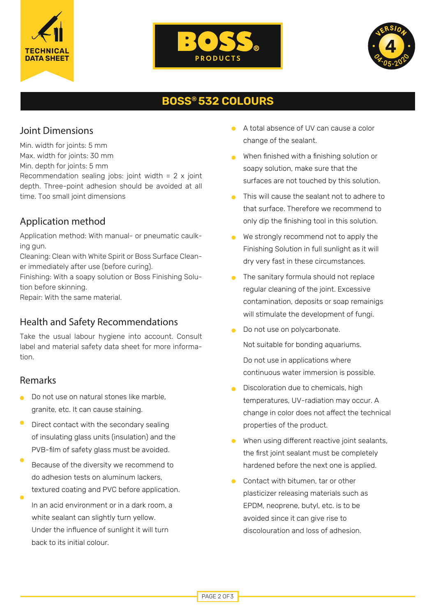





# **BOSS® 532 COLOURS**

## Joint Dimensions

Min. width for joints: 5 mm

- Max. width for joints: 30 mm
- Min. depth for joints: 5 mm

Recommendation sealing jobs: joint width =  $2 \times$  joint depth. Three-point adhesion should be avoided at all time. Too small joint dimensions

# Application method

Application method: With manual- or pneumatic caulking gun.

Cleaning: Clean with White Spirit or Boss Surface Cleaner immediately after use (before curing).

Finishing: With a soapy solution or Boss Finishing Solution before skinning.

Repair: With the same material.

## Health and Safety Recommendations

Take the usual labour hygiene into account. Consult label and material safety data sheet for more information.

#### Remarks

- Do not use on natural stones like marble, granite, etc. It can cause staining.
- Direct contact with the secondary sealing of insulating glass units (insulation) and the PVB-film of safety glass must be avoided.
- Because of the diversity we recommend to do adhesion tests on aluminum lackers, textured coating and PVC before application.
- In an acid environment or in a dark room, a white sealant can slightly turn yellow. Under the influence of sunlight it will turn back to its initial colour.
- A total absence of UV can cause a color change of the sealant.
- When finished with a finishing solution or soapy solution, make sure that the surfaces are not touched by this solution.
- This will cause the sealant not to adhere to that surface. Therefore we recommend to only dip the finishing tool in this solution.
- We strongly recommend not to apply the Finishing Solution in full sunlight as it will dry very fast in these circumstances.
- The sanitary formula should not replace regular cleaning of the joint. Excessive contamination, deposits or soap remainigs will stimulate the development of fungi.
- Do not use on polycarbonate. Not suitable for bonding aquariums. Do not use in applications where continuous water immersion is possible.
- Discoloration due to chemicals, high temperatures, UV-radiation may occur. A change in color does not affect the technical properties of the product.
- When using different reactive joint sealants,  $\bullet$ the first joint sealant must be completely hardened before the next one is applied.
- Contact with bitumen, tar or other  $\bullet$ plasticizer releasing materials such as EPDM, neoprene, butyl, etc. is to be avoided since it can give rise to discolouration and loss of adhesion.